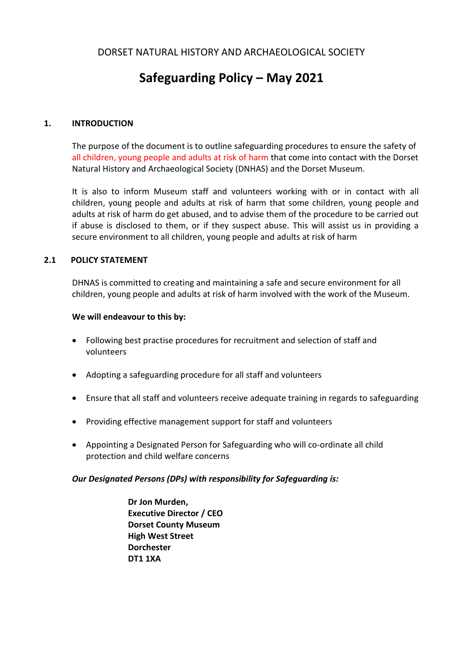# **Safeguarding Policy – May 2021**

# **1. INTRODUCTION**

The purpose of the document is to outline safeguarding procedures to ensure the safety of all children, young people and adults at risk of harm that come into contact with the Dorset Natural History and Archaeological Society (DNHAS) and the Dorset Museum.

It is also to inform Museum staff and volunteers working with or in contact with all children, young people and adults at risk of harm that some children, young people and adults at risk of harm do get abused, and to advise them of the procedure to be carried out if abuse is disclosed to them, or if they suspect abuse. This will assist us in providing a secure environment to all children, young people and adults at risk of harm

#### **2.1 POLICY STATEMENT**

DHNAS is committed to creating and maintaining a safe and secure environment for all children, young people and adults at risk of harm involved with the work of the Museum.

#### **We will endeavour to this by:**

- Following best practise procedures for recruitment and selection of staff and volunteers
- Adopting a safeguarding procedure for all staff and volunteers
- Ensure that all staff and volunteers receive adequate training in regards to safeguarding
- Providing effective management support for staff and volunteers
- Appointing a Designated Person for Safeguarding who will co-ordinate all child protection and child welfare concerns

#### *Our Designated Persons (DPs) with responsibility for Safeguarding is:*

**Dr Jon Murden, Executive Director / CEO Dorset County Museum High West Street Dorchester DT1 1XA**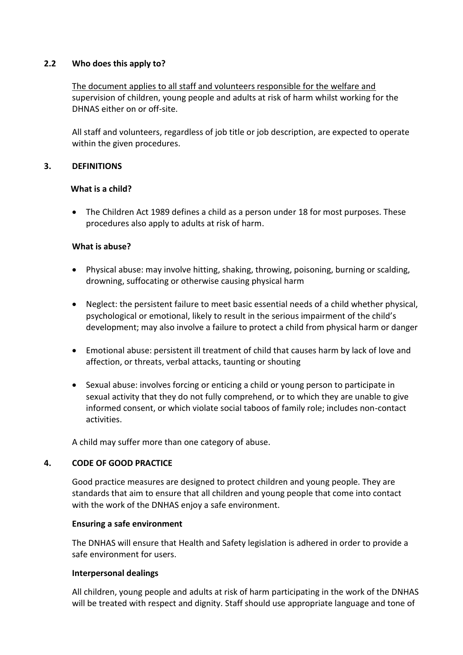#### **2.2 Who does this apply to?**

The document applies to all staff and volunteers responsible for the welfare and supervision of children, young people and adults at risk of harm whilst working for the DHNAS either on or off-site.

All staff and volunteers, regardless of job title or job description, are expected to operate within the given procedures.

#### **3. DEFINITIONS**

#### **What is a child?**

 The Children Act 1989 defines a child as a person under 18 for most purposes. These procedures also apply to adults at risk of harm.

#### **What is abuse?**

- Physical abuse: may involve hitting, shaking, throwing, poisoning, burning or scalding, drowning, suffocating or otherwise causing physical harm
- Neglect: the persistent failure to meet basic essential needs of a child whether physical, psychological or emotional, likely to result in the serious impairment of the child's development; may also involve a failure to protect a child from physical harm or danger
- Emotional abuse: persistent ill treatment of child that causes harm by lack of love and affection, or threats, verbal attacks, taunting or shouting
- Sexual abuse: involves forcing or enticing a child or young person to participate in sexual activity that they do not fully comprehend, or to which they are unable to give informed consent, or which violate social taboos of family role; includes non-contact activities.

A child may suffer more than one category of abuse.

#### **4. CODE OF GOOD PRACTICE**

Good practice measures are designed to protect children and young people. They are standards that aim to ensure that all children and young people that come into contact with the work of the DNHAS enjoy a safe environment.

#### **Ensuring a safe environment**

The DNHAS will ensure that Health and Safety legislation is adhered in order to provide a safe environment for users.

#### **Interpersonal dealings**

All children, young people and adults at risk of harm participating in the work of the DNHAS will be treated with respect and dignity. Staff should use appropriate language and tone of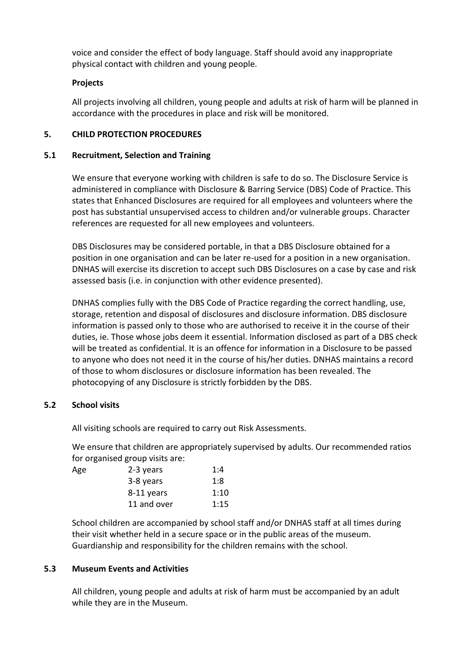voice and consider the effect of body language. Staff should avoid any inappropriate physical contact with children and young people.

#### **Projects**

All projects involving all children, young people and adults at risk of harm will be planned in accordance with the procedures in place and risk will be monitored.

# **5. CHILD PROTECTION PROCEDURES**

#### **5.1 Recruitment, Selection and Training**

We ensure that everyone working with children is safe to do so. The Disclosure Service is administered in compliance with Disclosure & Barring Service (DBS) Code of Practice. This states that Enhanced Disclosures are required for all employees and volunteers where the post has substantial unsupervised access to children and/or vulnerable groups. Character references are requested for all new employees and volunteers.

DBS Disclosures may be considered portable, in that a DBS Disclosure obtained for a position in one organisation and can be later re-used for a position in a new organisation. DNHAS will exercise its discretion to accept such DBS Disclosures on a case by case and risk assessed basis (i.e. in conjunction with other evidence presented).

DNHAS complies fully with the DBS Code of Practice regarding the correct handling, use, storage, retention and disposal of disclosures and disclosure information. DBS disclosure information is passed only to those who are authorised to receive it in the course of their duties, ie. Those whose jobs deem it essential. Information disclosed as part of a DBS check will be treated as confidential. It is an offence for information in a Disclosure to be passed to anyone who does not need it in the course of his/her duties. DNHAS maintains a record of those to whom disclosures or disclosure information has been revealed. The photocopying of any Disclosure is strictly forbidden by the DBS.

# **5.2 School visits**

All visiting schools are required to carry out Risk Assessments.

We ensure that children are appropriately supervised by adults. Our recommended ratios for organised group visits are:

| Age | 2-3 years   | 1:4  |
|-----|-------------|------|
|     | 3-8 years   | 1:8  |
|     | 8-11 years  | 1:10 |
|     | 11 and over | 1:15 |

School children are accompanied by school staff and/or DNHAS staff at all times during their visit whether held in a secure space or in the public areas of the museum. Guardianship and responsibility for the children remains with the school.

#### **5.3 Museum Events and Activities**

All children, young people and adults at risk of harm must be accompanied by an adult while they are in the Museum.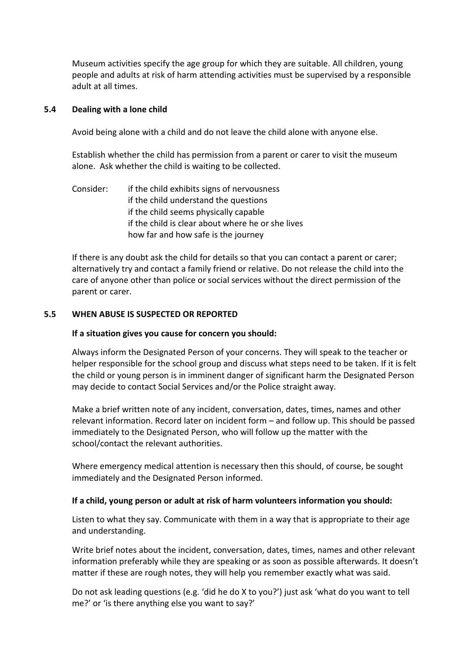Museum activities specify the age group for which they are suitable. All children, young people and adults at risk of harm attending activities must be supervised by a responsible adult at all times.

# **5.4 Dealing with a lone child**

Avoid being alone with a child and do not leave the child alone with anyone else.

Establish whether the child has permission from a parent or carer to visit the museum alone. Ask whether the child is waiting to be collected.

Consider: if the child exhibits signs of nervousness if the child understand the questions if the child seems physically capable if the child is clear about where he or she lives how far and how safe is the journey

If there is any doubt ask the child for details so that you can contact a parent or carer; alternatively try and contact a family friend or relative. Do not release the child into the care of anyone other than police or social services without the direct permission of the parent or carer.

#### **5.5 WHEN ABUSE IS SUSPECTED OR REPORTED**

#### **If a situation gives you cause for concern you should:**

Always inform the Designated Person of your concerns. They will speak to the teacher or helper responsible for the school group and discuss what steps need to be taken. If it is felt the child or young person is in imminent danger of significant harm the Designated Person may decide to contact Social Services and/or the Police straight away.

Make a brief written note of any incident, conversation, dates, times, names and other relevant information. Record later on incident form – and follow up. This should be passed immediately to the Designated Person, who will follow up the matter with the school/contact the relevant authorities.

Where emergency medical attention is necessary then this should, of course, be sought immediately and the Designated Person informed.

#### **If a child, young person or adult at risk of harm volunteers information you should:**

Listen to what they say. Communicate with them in a way that is appropriate to their age and understanding.

Write brief notes about the incident, conversation, dates, times, names and other relevant information preferably while they are speaking or as soon as possible afterwards. It doesn't matter if these are rough notes, they will help you remember exactly what was said.

Do not ask leading questions (e.g. 'did he do X to you?') just ask 'what do you want to tell me?' or 'is there anything else you want to say?'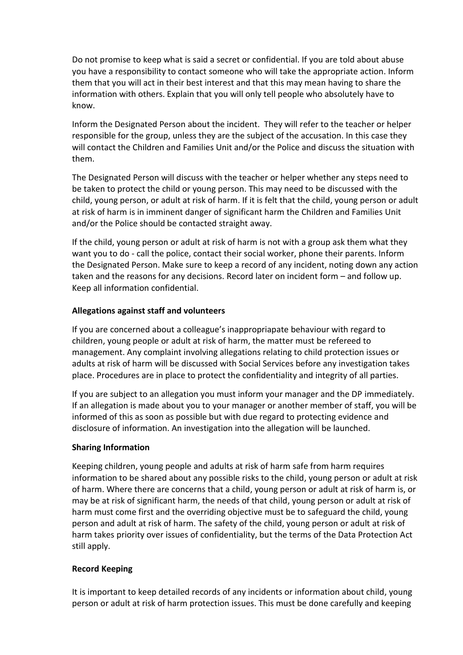Do not promise to keep what is said a secret or confidential. If you are told about abuse you have a responsibility to contact someone who will take the appropriate action. Inform them that you will act in their best interest and that this may mean having to share the information with others. Explain that you will only tell people who absolutely have to know.

Inform the Designated Person about the incident. They will refer to the teacher or helper responsible for the group, unless they are the subject of the accusation. In this case they will contact the Children and Families Unit and/or the Police and discuss the situation with them.

The Designated Person will discuss with the teacher or helper whether any steps need to be taken to protect the child or young person. This may need to be discussed with the child, young person, or adult at risk of harm. If it is felt that the child, young person or adult at risk of harm is in imminent danger of significant harm the Children and Families Unit and/or the Police should be contacted straight away.

If the child, young person or adult at risk of harm is not with a group ask them what they want you to do - call the police, contact their social worker, phone their parents. Inform the Designated Person. Make sure to keep a record of any incident, noting down any action taken and the reasons for any decisions. Record later on incident form – and follow up. Keep all information confidential.

# **Allegations against staff and volunteers**

If you are concerned about a colleague's inappropriapate behaviour with regard to children, young people or adult at risk of harm, the matter must be refereed to management. Any complaint involving allegations relating to child protection issues or adults at risk of harm will be discussed with Social Services before any investigation takes place. Procedures are in place to protect the confidentiality and integrity of all parties.

If you are subject to an allegation you must inform your manager and the DP immediately. If an allegation is made about you to your manager or another member of staff, you will be informed of this as soon as possible but with due regard to protecting evidence and disclosure of information. An investigation into the allegation will be launched.

# **Sharing Information**

Keeping children, young people and adults at risk of harm safe from harm requires information to be shared about any possible risks to the child, young person or adult at risk of harm. Where there are concerns that a child, young person or adult at risk of harm is, or may be at risk of significant harm, the needs of that child, young person or adult at risk of harm must come first and the overriding objective must be to safeguard the child, young person and adult at risk of harm. The safety of the child, young person or adult at risk of harm takes priority over issues of confidentiality, but the terms of the Data Protection Act still apply.

# **Record Keeping**

It is important to keep detailed records of any incidents or information about child, young person or adult at risk of harm protection issues. This must be done carefully and keeping